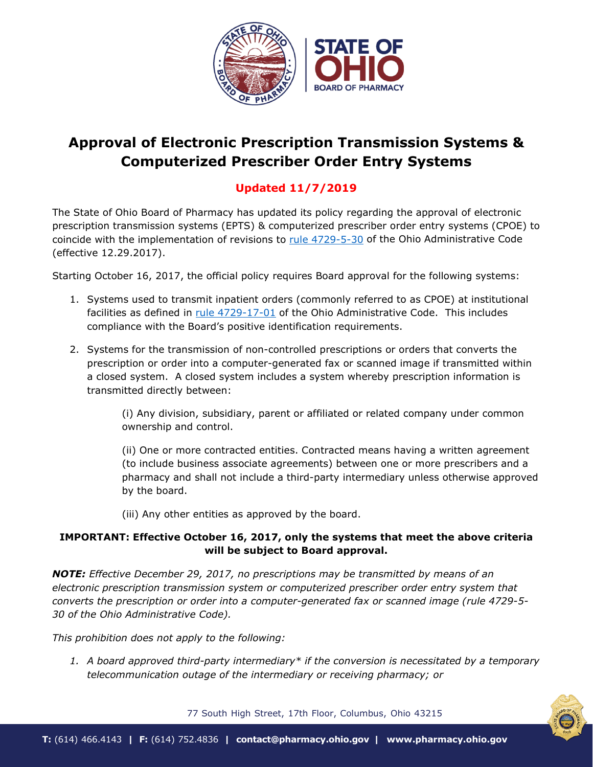

# **Approval of Electronic Prescription Transmission Systems & Computerized Prescriber Order Entry Systems**

# **Updated 11/7/2019**

The State of Ohio Board of Pharmacy has updated its policy regarding the approval of electronic prescription transmission systems (EPTS) & computerized prescriber order entry systems (CPOE) to coincide with the implementation of revisions to [rule 4729-5-30](http://codes.ohio.gov/oac/4729-5-30) of the Ohio Administrative Code (effective 12.29.2017).

Starting October 16, 2017, the official policy requires Board approval for the following systems:

- 1. Systems used to transmit inpatient orders (commonly referred to as CPOE) at institutional facilities as defined in rule  $4729-17-01$  of the Ohio Administrative Code. This includes compliance with the Board's positive identification requirements.
- 2. Systems for the transmission of non-controlled prescriptions or orders that converts the prescription or order into a computer-generated fax or scanned image if transmitted within a closed system. A closed system includes a system whereby prescription information is transmitted directly between:

(i) Any division, subsidiary, parent or affiliated or related company under common ownership and control.

(ii) One or more contracted entities. Contracted means having a written agreement (to include business associate agreements) between one or more prescribers and a pharmacy and shall not include a third-party intermediary unless otherwise approved by the board.

(iii) Any other entities as approved by the board.

# **IMPORTANT: Effective October 16, 2017, only the systems that meet the above criteria will be subject to Board approval.**

*NOTE: Effective December 29, 2017, no prescriptions may be transmitted by means of an electronic prescription transmission system or computerized prescriber order entry system that converts the prescription or order into a computer-generated fax or scanned image (rule 4729-5- 30 of the Ohio Administrative Code).* 

*This prohibition does not apply to the following:*

*1. A board approved third-party intermediary\* if the conversion is necessitated by a temporary telecommunication outage of the intermediary or receiving pharmacy; or*

77 South High Street, 17th Floor, Columbus, Ohio 43215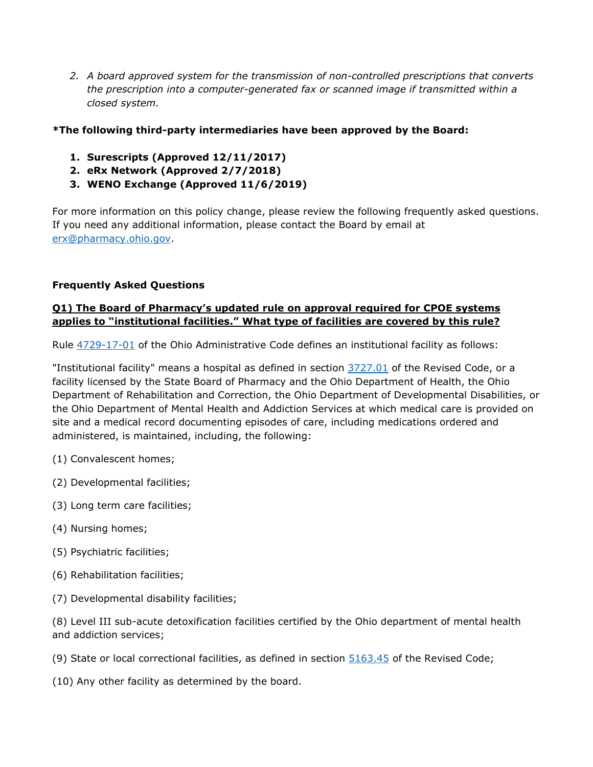*2. A board approved system for the transmission of non-controlled prescriptions that converts the prescription into a computer-generated fax or scanned image if transmitted within a closed system.* 

# **\*The following third-party intermediaries have been approved by the Board:**

- **1. Surescripts (Approved 12/11/2017)**
- **2. eRx Network (Approved 2/7/2018)**
- **3. WENO Exchange (Approved 11/6/2019)**

For more information on this policy change, please review the following frequently asked questions. If you need any additional information, please contact the Board by email at [erx@pharmacy.ohio.gov.](mailto:erx@pharmacy.ohio.gov)

#### **Frequently Asked Questions**

### **Q1) The Board of Pharmacy's updated rule on approval required for CPOE systems applies to "institutional facilities." What type of facilities are covered by this rule?**

Rule [4729-17-01](http://codes.ohio.gov/oac/4729-17-01) of the Ohio Administrative Code defines an institutional facility as follows:

"Institutional facility" means a hospital as defined in section [3727.01](http://codes.ohio.gov/orc/3727.01) of the Revised Code, or a facility licensed by the State Board of Pharmacy and the Ohio Department of Health, the Ohio Department of Rehabilitation and Correction, the Ohio Department of Developmental Disabilities, or the Ohio Department of Mental Health and Addiction Services at which medical care is provided on site and a medical record documenting episodes of care, including medications ordered and administered, is maintained, including, the following:

- (1) Convalescent homes;
- (2) Developmental facilities;
- (3) Long term care facilities;
- (4) Nursing homes;
- (5) Psychiatric facilities;
- (6) Rehabilitation facilities;
- (7) Developmental disability facilities;

(8) Level III sub-acute detoxification facilities certified by the Ohio department of mental health and addiction services;

- (9) State or local correctional facilities, as defined in section  $5163.45$  of the Revised Code;
- (10) Any other facility as determined by the board.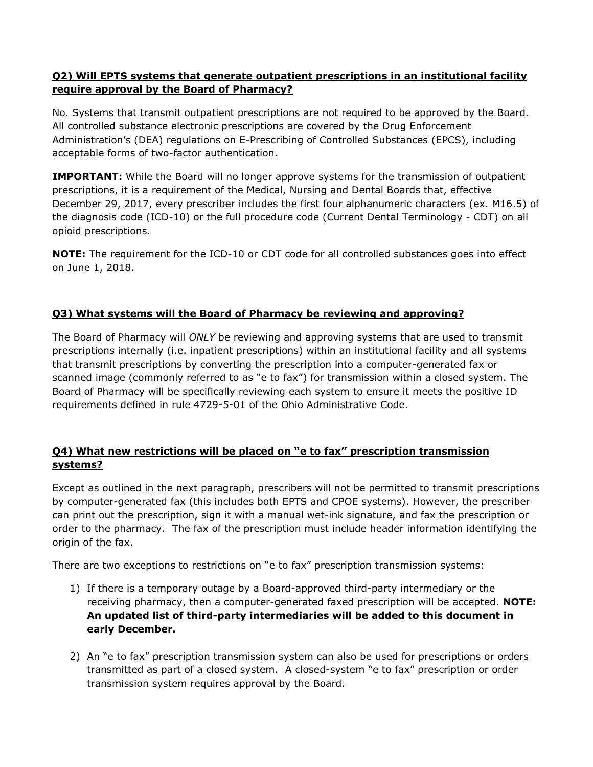# **Q2) Will EPTS systems that generate outpatient prescriptions in an institutional facility require approval by the Board of Pharmacy?**

No. Systems that transmit outpatient prescriptions are not required to be approved by the Board. All controlled substance electronic prescriptions are covered by the Drug Enforcement Administration's (DEA) regulations on E-Prescribing of Controlled Substances (EPCS), including acceptable forms of two-factor authentication.

**IMPORTANT:** While the Board will no longer approve systems for the transmission of outpatient prescriptions, it is a requirement of the Medical, Nursing and Dental Boards that, effective December 29, 2017, every prescriber includes the first four alphanumeric characters (ex. M16.5) of the diagnosis code (ICD-10) or the full procedure code (Current Dental Terminology - CDT) on all opioid prescriptions.

**NOTE:** The requirement for the ICD-10 or CDT code for all controlled substances goes into effect on June 1, 2018.

# **Q3) What systems will the Board of Pharmacy be reviewing and approving?**

The Board of Pharmacy will *ONLY* be reviewing and approving systems that are used to transmit prescriptions internally (i.e. inpatient prescriptions) within an institutional facility and all systems that transmit prescriptions by converting the prescription into a computer-generated fax or scanned image (commonly referred to as "e to fax") for transmission within a closed system. The Board of Pharmacy will be specifically reviewing each system to ensure it meets the positive ID requirements defined in rule 4729-5-01 of the Ohio Administrative Code.

# **Q4) What new restrictions will be placed on "e to fax" prescription transmission systems?**

Except as outlined in the next paragraph, prescribers will not be permitted to transmit prescriptions by computer-generated fax (this includes both EPTS and CPOE systems). However, the prescriber can print out the prescription, sign it with a manual wet-ink signature, and fax the prescription or order to the pharmacy. The fax of the prescription must include header information identifying the origin of the fax.

There are two exceptions to restrictions on "e to fax" prescription transmission systems:

- 1) If there is a temporary outage by a Board-approved third-party intermediary or the receiving pharmacy, then a computer-generated faxed prescription will be accepted. **NOTE: An updated list of third-party intermediaries will be added to this document in early December.**
- 2) An "e to fax" prescription transmission system can also be used for prescriptions or orders transmitted as part of a closed system. A closed-system "e to fax" prescription or order transmission system requires approval by the Board.